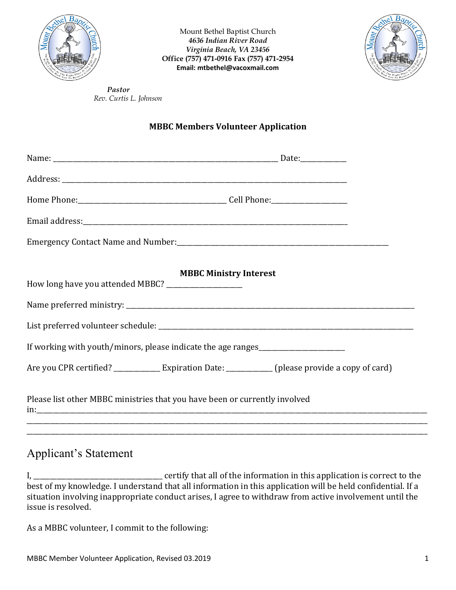

Mount Bethel Baptist Church  *4636 Indian River Road Virginia Beach, VA 23456* **Office (757) 471-0916 Fax (757) 471-2954 Email: mtbethel@vacoxmail.com** 



*Pastor Rev. Curtis L. Johnson* 

## **MBBC Members Volunteer Application**

| <b>MBBC Ministry Interest</b><br>How long have you attended MBBC? _____________________                |  |  |  |  |  |  |
|--------------------------------------------------------------------------------------------------------|--|--|--|--|--|--|
|                                                                                                        |  |  |  |  |  |  |
|                                                                                                        |  |  |  |  |  |  |
| If working with youth/minors, please indicate the age ranges                                           |  |  |  |  |  |  |
| Are you CPR certified? ________________ Expiration Date: _____________ (please provide a copy of card) |  |  |  |  |  |  |
| Please list other MBBC ministries that you have been or currently involved                             |  |  |  |  |  |  |
|                                                                                                        |  |  |  |  |  |  |

## Applicant's Statement

I, \_\_\_\_\_\_\_\_\_\_\_\_\_\_\_\_\_\_\_\_\_\_\_\_\_\_\_\_\_\_\_\_\_\_\_\_\_\_\_ certify that all of the information in this application is correct to the best of my knowledge. I understand that all information in this application will be held confidential. If a situation involving inappropriate conduct arises, I agree to withdraw from active involvement until the issue is resolved.

As a MBBC volunteer, I commit to the following: